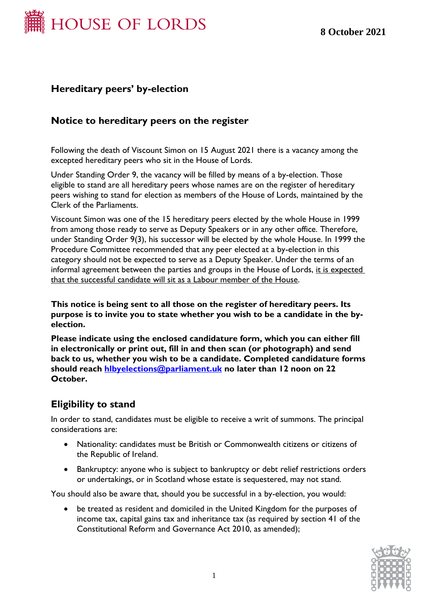

### **Hereditary peers' by-election**

#### **Notice to hereditary peers on the register**

Following the death of Viscount Simon on 15 August 2021 there is a vacancy among the excepted hereditary peers who sit in the House of Lords.

Under Standing Order 9, the vacancy will be filled by means of a by-election. Those eligible to stand are all hereditary peers whose names are on the register of hereditary peers wishing to stand for election as members of the House of Lords, maintained by the Clerk of the Parliaments.

Viscount Simon was one of the 15 hereditary peers elected by the whole House in 1999 from among those ready to serve as Deputy Speakers or in any other office. Therefore, under Standing Order 9(3), his successor will be elected by the whole House. In 1999 the Procedure Committee recommended that any peer elected at a by-election in this category should not be expected to serve as a Deputy Speaker. Under the terms of an informal agreement between the parties and groups in the House of Lords, it is expected that the successful candidate will sit as a Labour member of the House.

**This notice is being sent to all those on the register of hereditary peers. Its purpose is to invite you to state whether you wish to be a candidate in the byelection.**

**Please indicate using the enclosed candidature form, which you can either fill in electronically or print out, fill in and then scan (or photograph) and send back to us, whether you wish to be a candidate. Completed candidature forms should reach [hlbyelections@parliament.uk](mailto:hlbyelections@parliament.uk) no later than 12 noon on 22 October.**

#### **Eligibility to stand**

In order to stand, candidates must be eligible to receive a writ of summons. The principal considerations are:

- Nationality: candidates must be British or Commonwealth citizens or citizens of the Republic of Ireland.
- Bankruptcy: anyone who is subject to bankruptcy or debt relief restrictions orders or undertakings, or in Scotland whose estate is sequestered, may not stand.

You should also be aware that, should you be successful in a by-election, you would:

• be treated as resident and domiciled in the United Kingdom for the purposes of income tax, capital gains tax and inheritance tax (as required by section 41 of the Constitutional Reform and Governance Act 2010, as amended);

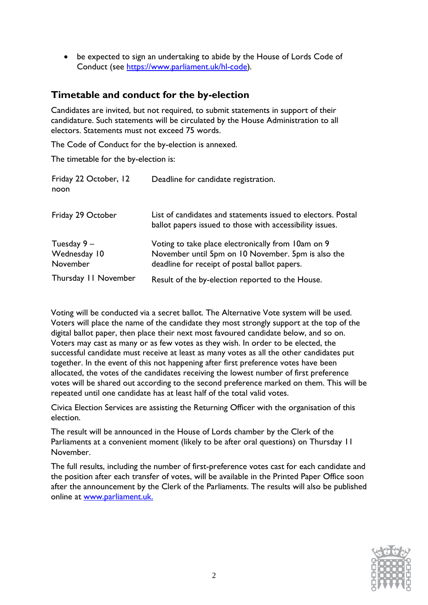• be expected to sign an undertaking to abide by the House of Lords Code of Conduct (see [https://www.parliament.uk/hl-code\)](https://www.parliament.uk/hl-code).

## **Timetable and conduct for the by-election**

Candidates are invited, but not required, to submit statements in support of their candidature. Such statements will be circulated by the House Administration to all electors. Statements must not exceed 75 words.

The Code of Conduct for the by-election is annexed.

The timetable for the by-election is:

| Friday 22 October, 12<br>noon             | Deadline for candidate registration.                                                                                                                      |
|-------------------------------------------|-----------------------------------------------------------------------------------------------------------------------------------------------------------|
| Friday 29 October                         | List of candidates and statements issued to electors. Postal<br>ballot papers issued to those with accessibility issues.                                  |
| Tuesday $9 -$<br>Wednesday 10<br>November | Voting to take place electronically from 10am on 9<br>November until 5pm on 10 November. 5pm is also the<br>deadline for receipt of postal ballot papers. |
| Thursday II November                      | Result of the by-election reported to the House.                                                                                                          |

Voting will be conducted via a secret ballot. The Alternative Vote system will be used. Voters will place the name of the candidate they most strongly support at the top of the digital ballot paper, then place their next most favoured candidate below, and so on. Voters may cast as many or as few votes as they wish. In order to be elected, the successful candidate must receive at least as many votes as all the other candidates put together. In the event of this not happening after first preference votes have been allocated, the votes of the candidates receiving the lowest number of first preference votes will be shared out according to the second preference marked on them. This will be repeated until one candidate has at least half of the total valid votes.

Civica Election Services are assisting the Returning Officer with the organisation of this election.

The result will be announced in the House of Lords chamber by the Clerk of the Parliaments at a convenient moment (likely to be after oral questions) on Thursday 11 November.

The full results, including the number of first-preference votes cast for each candidate and the position after each transfer of votes, will be available in the Printed Paper Office soon after the announcement by the Clerk of the Parliaments. The results will also be published online at [www.parliament.uk.](http://www.parliament.uk/)

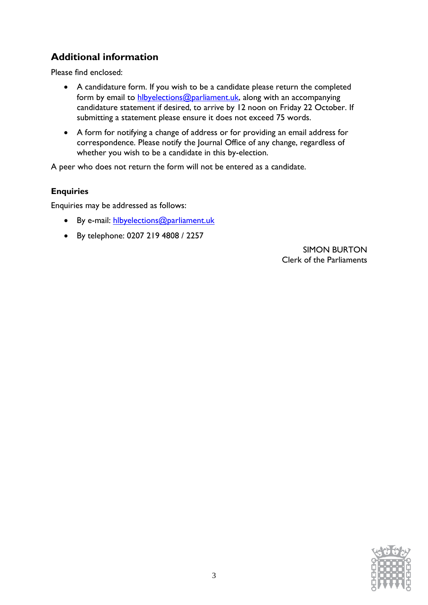# **Additional information**

Please find enclosed:

- A candidature form. If you wish to be a candidate please return the completed form by email to **hlbyelections@parliament.uk**, along with an accompanying candidature statement if desired, to arrive by 12 noon on Friday 22 October. If submitting a statement please ensure it does not exceed 75 words.
- A form for notifying a change of address or for providing an email address for correspondence. Please notify the Journal Office of any change, regardless of whether you wish to be a candidate in this by-election.

A peer who does not return the form will not be entered as a candidate.

#### **Enquiries**

Enquiries may be addressed as follows:

- By e-mail: hlbyelections@parliament.uk
- By telephone: 0207 219 4808 / 2257

SIMON BURTON Clerk of the Parliaments